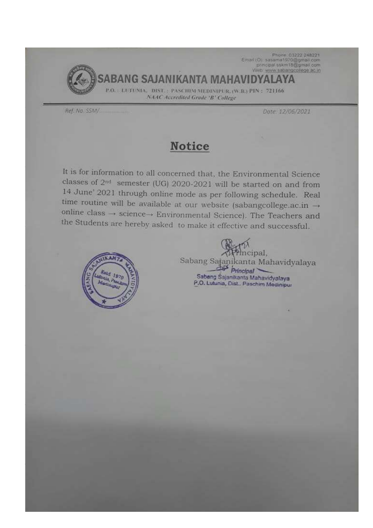Phone 03222 248221 Email (O): sasama1970@gmail.com principal ssion 18@gmail.com Web www sabangcollege ac in

## SABANG SAJANIKANTA MAHAVIDYALAYA

P.O.: LUTUNIA. DIST.: PASCHIM MEDINIPUR, (W.B.) PIN: 721166. NAAC Accredited Grade 'B' College

Ref. No. SSM/

Date: 12/06/2021

# **Notice**

It is for information to all concerned that, the Environmental Science classes of 2<sup>nd</sup> semester (UG) 2020-2021 will be started on and from 14 June' 2021 through online mode as per following schedule. Real time routine will be available at our website (sabangcollege.ac.in  $\rightarrow$ online class → science→ Environmental Science). The Teachers and the Students are hereby asked to make it effective and successful.



ncipal. Sabang Sajanikanta Mahavidyalaya **Exprincipal** Sabang Sajanikanta Mahavidyalaya P.O. Lutunia, Dist., Paschim Medinipur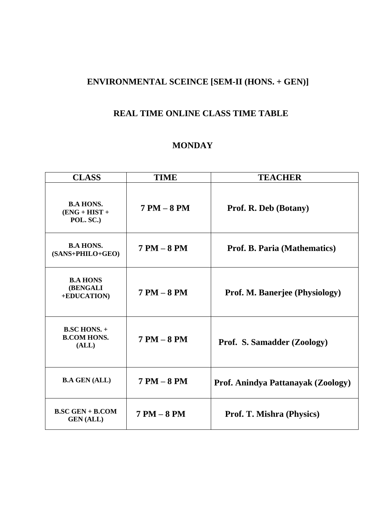### **ENVIRONMENTAL SCEINCE [SEM-II (HONS. + GEN)]**

#### **REAL TIME ONLINE CLASS TIME TABLE**

#### **MONDAY**

| <b>CLASS</b>                                      | <b>TIME</b>   | <b>TEACHER</b>                        |
|---------------------------------------------------|---------------|---------------------------------------|
| <b>B.A HONS.</b><br>$(ENG + HIST +$<br>POL. SC.)  | $7 PM - 8 PM$ | Prof. R. Deb (Botany)                 |
| <b>B.A HONS.</b><br>(SANS+PHILO+GEO)              | $7 PM - 8 PM$ | <b>Prof. B. Paria (Mathematics)</b>   |
| <b>B.A HONS</b><br><b>(BENGALI</b><br>+EDUCATION) | $7 PM - 8 PM$ | <b>Prof. M. Banerjee (Physiology)</b> |
| $B.SC HONS. +$<br><b>B.COM HONS.</b><br>(ALL)     | $7 PM - 8 PM$ | Prof. S. Samadder (Zoology)           |
| <b>B.A GEN (ALL)</b>                              | $7 PM - 8 PM$ | Prof. Anindya Pattanayak (Zoology)    |
| $B.SC$ GEN + $B.COM$<br><b>GEN</b> (ALL)          | $7 PM - 8 PM$ | <b>Prof. T. Mishra (Physics)</b>      |